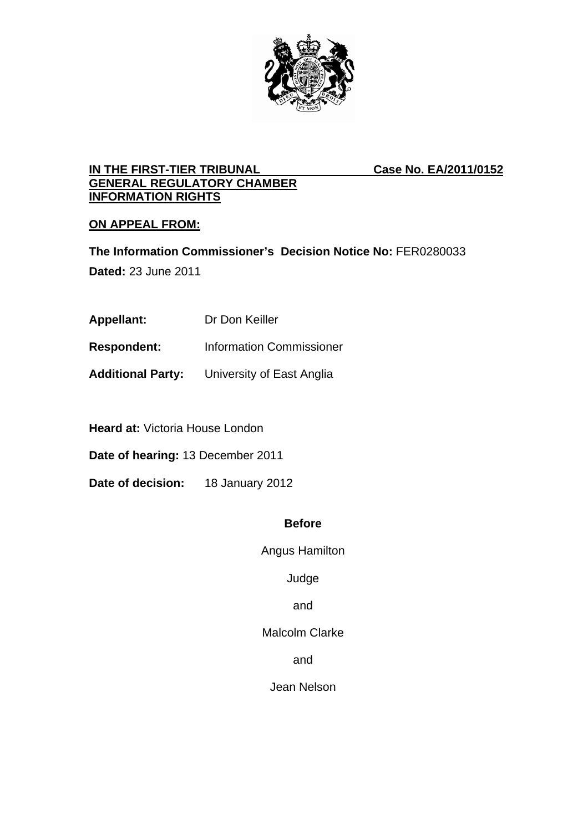

## **IN THE FIRST-TIER TRIBUNAL Case No. EA/2011/0152 GENERAL REGULATORY CHAMBER INFORMATION RIGHTS**

# **ON APPEAL FROM:**

**The Information Commissioner's Decision Notice No:** FER0280033

**Dated:** 23 June 2011

- **Appellant:** Dr Don Keiller
- **Respondent:** Information Commissioner
- **Additional Party:** University of East Anglia

**Heard at:** Victoria House London

**Date of hearing:** 13 December 2011

**Date of decision:** 18 January 2012

### **Before**

Angus Hamilton

Judge

and

Malcolm Clarke

and

Jean Nelson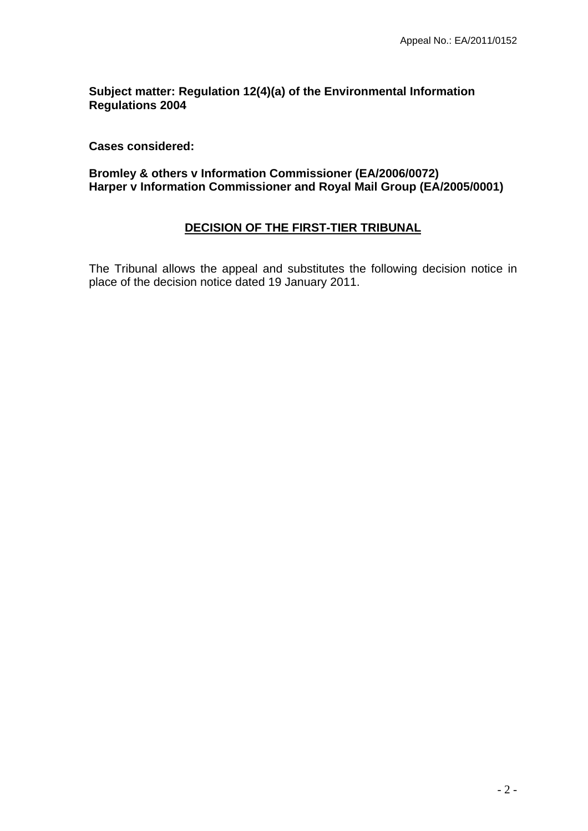**Subject matter: Regulation 12(4)(a) of the Environmental Information Regulations 2004** 

**Cases considered:** 

**Bromley & others v Information Commissioner (EA/2006/0072) Harper v Information Commissioner and Royal Mail Group (EA/2005/0001)** 

## **DECISION OF THE FIRST-TIER TRIBUNAL**

The Tribunal allows the appeal and substitutes the following decision notice in place of the decision notice dated 19 January 2011.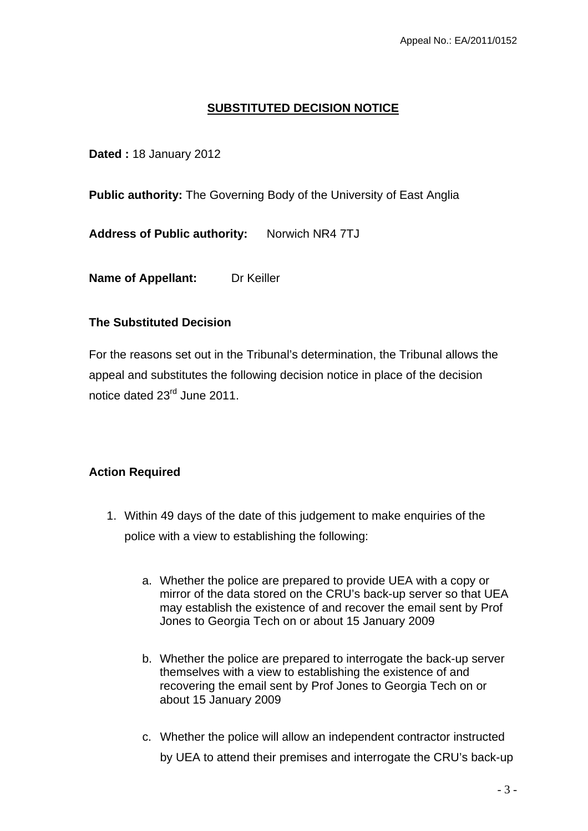## **SUBSTITUTED DECISION NOTICE**

### **Dated :** 18 January 2012

**Public authority:** The Governing Body of the University of East Anglia

**Address of Public authority:** Norwich NR4 7TJ

**Name of Appellant:** Dr Keiller

### **The Substituted Decision**

For the reasons set out in the Tribunal's determination, the Tribunal allows the appeal and substitutes the following decision notice in place of the decision notice dated 23rd June 2011.

## **Action Required**

- 1. Within 49 days of the date of this judgement to make enquiries of the police with a view to establishing the following:
	- a. Whether the police are prepared to provide UEA with a copy or mirror of the data stored on the CRU's back-up server so that UEA may establish the existence of and recover the email sent by Prof Jones to Georgia Tech on or about 15 January 2009
	- b. Whether the police are prepared to interrogate the back-up server themselves with a view to establishing the existence of and recovering the email sent by Prof Jones to Georgia Tech on or about 15 January 2009
	- c. Whether the police will allow an independent contractor instructed by UEA to attend their premises and interrogate the CRU's back-up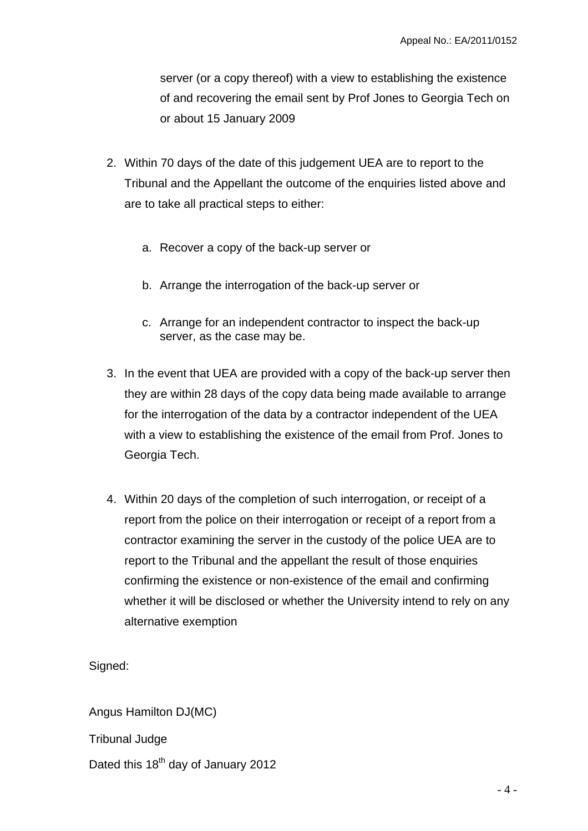server (or a copy thereof) with a view to establishing the existence of and recovering the email sent by Prof Jones to Georgia Tech on or about 15 January 2009

- 2. Within 70 days of the date of this judgement UEA are to report to the Tribunal and the Appellant the outcome of the enquiries listed above and are to take all practical steps to either:
	- a. Recover a copy of the back-up server or
	- b. Arrange the interrogation of the back-up server or
	- c. Arrange for an independent contractor to inspect the back-up server, as the case may be.
- 3. In the event that UEA are provided with a copy of the back-up server then they are within 28 days of the copy data being made available to arrange for the interrogation of the data by a contractor independent of the UEA with a view to establishing the existence of the email from Prof. Jones to Georgia Tech.
- 4. Within 20 days of the completion of such interrogation, or receipt of a report from the police on their interrogation or receipt of a report from a contractor examining the server in the custody of the police UEA are to report to the Tribunal and the appellant the result of those enquiries confirming the existence or non-existence of the email and confirming whether it will be disclosed or whether the University intend to rely on any alternative exemption

Signed:

Angus Hamilton DJ(MC) Tribunal Judge

Dated this 18<sup>th</sup> day of January 2012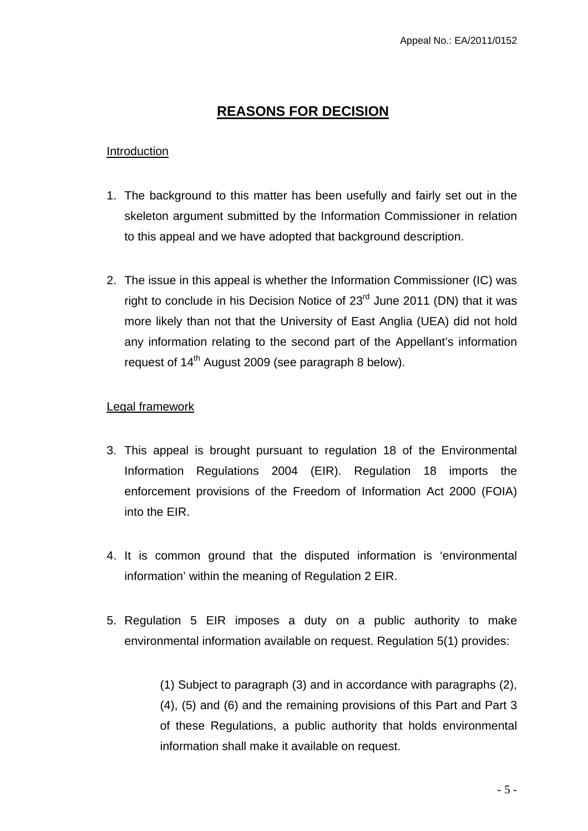# **REASONS FOR DECISION**

### Introduction

- 1. The background to this matter has been usefully and fairly set out in the skeleton argument submitted by the Information Commissioner in relation to this appeal and we have adopted that background description.
- 2. The issue in this appeal is whether the Information Commissioner (IC) was right to conclude in his Decision Notice of  $23<sup>rd</sup>$  June 2011 (DN) that it was more likely than not that the University of East Anglia (UEA) did not hold any information relating to the second part of the Appellant's information request of 14<sup>th</sup> August 2009 (see paragraph 8 below).

## Legal framework

- 3. This appeal is brought pursuant to regulation 18 of the Environmental Information Regulations 2004 (EIR). Regulation 18 imports the enforcement provisions of the Freedom of Information Act 2000 (FOIA) into the EIR.
- 4. It is common ground that the disputed information is 'environmental information' within the meaning of Regulation 2 EIR.
- 5. Regulation 5 EIR imposes a duty on a public authority to make environmental information available on request. Regulation 5(1) provides:

(1) Subject to paragraph (3) and in accordance with paragraphs (2), (4), (5) and (6) and the remaining provisions of this Part and Part 3 of these Regulations, a public authority that holds environmental information shall make it available on request.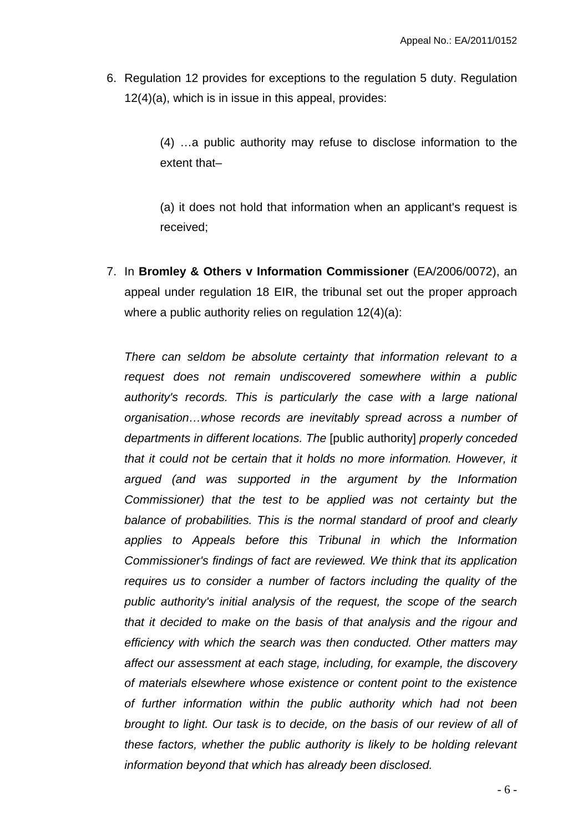6. Regulation 12 provides for exceptions to the regulation 5 duty. Regulation 12(4)(a), which is in issue in this appeal, provides:

> (4) …a public authority may refuse to disclose information to the extent that–

> (a) it does not hold that information when an applicant's request is received;

7. In **Bromley & Others v Information Commissioner** (EA/2006/0072), an appeal under regulation 18 EIR, the tribunal set out the proper approach where a public authority relies on regulation 12(4)(a):

*There can seldom be absolute certainty that information relevant to a request does not remain undiscovered somewhere within a public authority's records. This is particularly the case with a large national organisation…whose records are inevitably spread across a number of departments in different locations. The* [public authority] *properly conceded that it could not be certain that it holds no more information. However, it argued (and was supported in the argument by the Information Commissioner) that the test to be applied was not certainty but the balance of probabilities. This is the normal standard of proof and clearly applies to Appeals before this Tribunal in which the Information Commissioner's findings of fact are reviewed. We think that its application requires us to consider a number of factors including the quality of the public authority's initial analysis of the request, the scope of the search that it decided to make on the basis of that analysis and the rigour and efficiency with which the search was then conducted. Other matters may affect our assessment at each stage, including, for example, the discovery of materials elsewhere whose existence or content point to the existence of further information within the public authority which had not been brought to light. Our task is to decide, on the basis of our review of all of these factors, whether the public authority is likely to be holding relevant information beyond that which has already been disclosed.*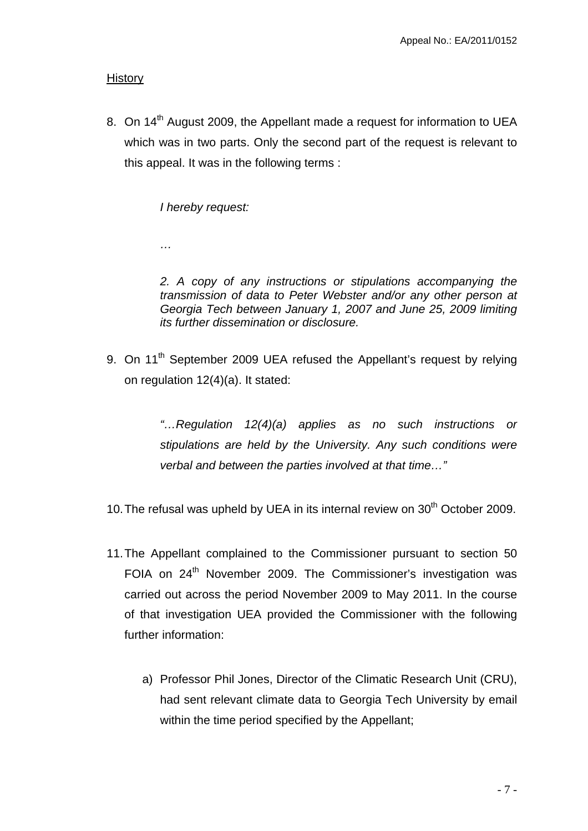### **History**

8. On 14<sup>th</sup> August 2009, the Appellant made a request for information to UEA which was in two parts. Only the second part of the request is relevant to this appeal. It was in the following terms :

*I hereby request:* 

*…* 

*2. A copy of any instructions or stipulations accompanying the transmission of data to Peter Webster and/or any other person at Georgia Tech between January 1, 2007 and June 25, 2009 limiting its further dissemination or disclosure.* 

9. On 11<sup>th</sup> September 2009 UEA refused the Appellant's request by relying on regulation 12(4)(a). It stated:

> *"…Regulation 12(4)(a) applies as no such instructions or stipulations are held by the University. Any such conditions were verbal and between the parties involved at that time…"*

- 10. The refusal was upheld by UEA in its internal review on  $30<sup>th</sup>$  October 2009.
- 11. The Appellant complained to the Commissioner pursuant to section 50 FOIA on 24<sup>th</sup> November 2009. The Commissioner's investigation was carried out across the period November 2009 to May 2011. In the course of that investigation UEA provided the Commissioner with the following further information:
	- a) Professor Phil Jones, Director of the Climatic Research Unit (CRU), had sent relevant climate data to Georgia Tech University by email within the time period specified by the Appellant;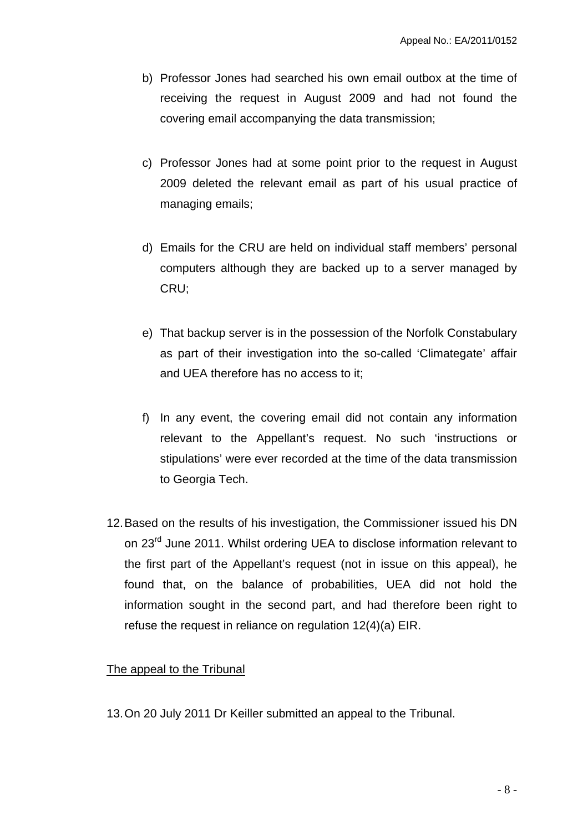- b) Professor Jones had searched his own email outbox at the time of receiving the request in August 2009 and had not found the covering email accompanying the data transmission;
- c) Professor Jones had at some point prior to the request in August 2009 deleted the relevant email as part of his usual practice of managing emails;
- d) Emails for the CRU are held on individual staff members' personal computers although they are backed up to a server managed by CRU;
- e) That backup server is in the possession of the Norfolk Constabulary as part of their investigation into the so-called 'Climategate' affair and UEA therefore has no access to it;
- f) In any event, the covering email did not contain any information relevant to the Appellant's request. No such 'instructions or stipulations' were ever recorded at the time of the data transmission to Georgia Tech.
- 12. Based on the results of his investigation, the Commissioner issued his DN on 23<sup>rd</sup> June 2011. Whilst ordering UEA to disclose information relevant to the first part of the Appellant's request (not in issue on this appeal), he found that, on the balance of probabilities, UEA did not hold the information sought in the second part, and had therefore been right to refuse the request in reliance on regulation 12(4)(a) EIR.

### The appeal to the Tribunal

13. On 20 July 2011 Dr Keiller submitted an appeal to the Tribunal.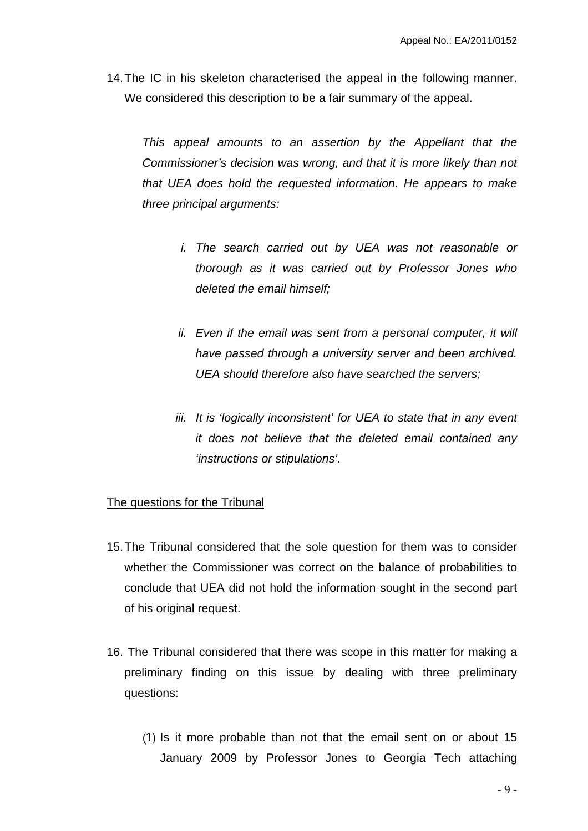14. The IC in his skeleton characterised the appeal in the following manner. We considered this description to be a fair summary of the appeal.

*This appeal amounts to an assertion by the Appellant that the Commissioner's decision was wrong, and that it is more likely than not that UEA does hold the requested information. He appears to make three principal arguments:*

- *i. The search carried out by UEA was not reasonable or thorough as it was carried out by Professor Jones who deleted the email himself;*
- *ii.* Even if the email was sent from a personal computer, it will *have passed through a university server and been archived. UEA should therefore also have searched the servers;*
- *iii.* It is 'logically inconsistent' for UEA to state that in any event *it does not believe that the deleted email contained any 'instructions or stipulations'.*

### The questions for the Tribunal

- 15. The Tribunal considered that the sole question for them was to consider whether the Commissioner was correct on the balance of probabilities to conclude that UEA did not hold the information sought in the second part of his original request.
- 16. The Tribunal considered that there was scope in this matter for making a preliminary finding on this issue by dealing with three preliminary questions:
	- (1) Is it more probable than not that the email sent on or about 15 January 2009 by Professor Jones to Georgia Tech attaching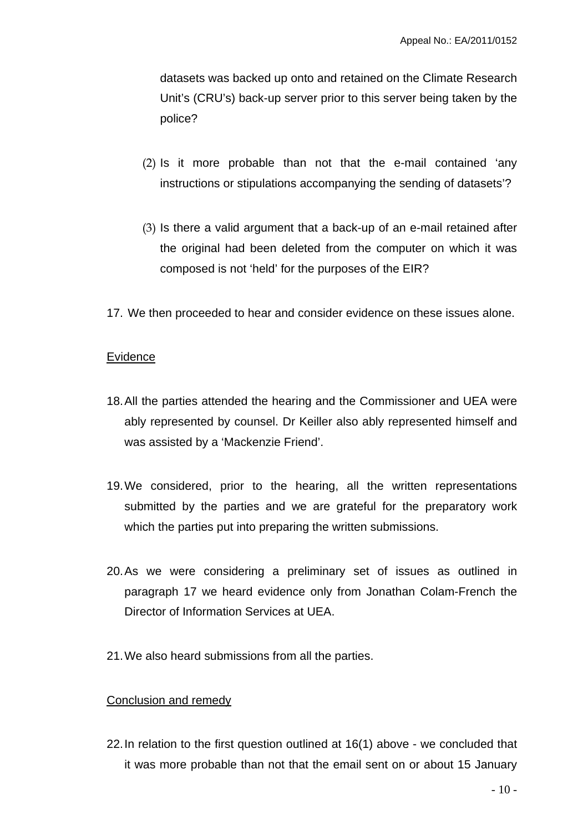datasets was backed up onto and retained on the Climate Research Unit's (CRU's) back-up server prior to this server being taken by the police?

- (2) Is it more probable than not that the e-mail contained 'any instructions or stipulations accompanying the sending of datasets'?
- (3) Is there a valid argument that a back-up of an e-mail retained after the original had been deleted from the computer on which it was composed is not 'held' for the purposes of the EIR?
- 17. We then proceeded to hear and consider evidence on these issues alone.

### Evidence

- 18. All the parties attended the hearing and the Commissioner and UEA were ably represented by counsel. Dr Keiller also ably represented himself and was assisted by a 'Mackenzie Friend'.
- 19. We considered, prior to the hearing, all the written representations submitted by the parties and we are grateful for the preparatory work which the parties put into preparing the written submissions.
- 20. As we were considering a preliminary set of issues as outlined in paragraph 17 we heard evidence only from Jonathan Colam-French the Director of Information Services at UEA.
- 21. We also heard submissions from all the parties.

#### Conclusion and remedy

22. In relation to the first question outlined at 16(1) above - we concluded that it was more probable than not that the email sent on or about 15 January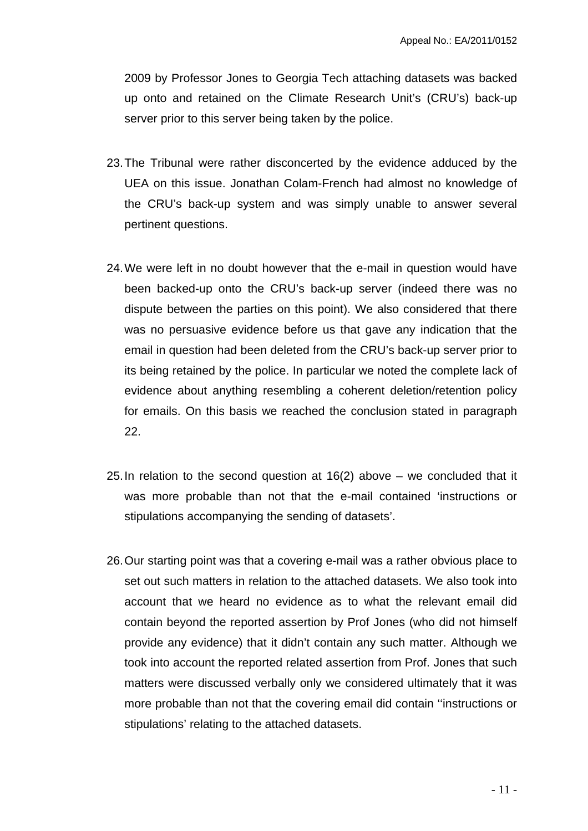2009 by Professor Jones to Georgia Tech attaching datasets was backed up onto and retained on the Climate Research Unit's (CRU's) back-up server prior to this server being taken by the police.

- 23. The Tribunal were rather disconcerted by the evidence adduced by the UEA on this issue. Jonathan Colam-French had almost no knowledge of the CRU's back-up system and was simply unable to answer several pertinent questions.
- 24. We were left in no doubt however that the e-mail in question would have been backed-up onto the CRU's back-up server (indeed there was no dispute between the parties on this point). We also considered that there was no persuasive evidence before us that gave any indication that the email in question had been deleted from the CRU's back-up server prior to its being retained by the police. In particular we noted the complete lack of evidence about anything resembling a coherent deletion/retention policy for emails. On this basis we reached the conclusion stated in paragraph 22.
- 25. In relation to the second question at 16(2) above we concluded that it was more probable than not that the e-mail contained 'instructions or stipulations accompanying the sending of datasets'.
- 26. Our starting point was that a covering e-mail was a rather obvious place to set out such matters in relation to the attached datasets. We also took into account that we heard no evidence as to what the relevant email did contain beyond the reported assertion by Prof Jones (who did not himself provide any evidence) that it didn't contain any such matter. Although we took into account the reported related assertion from Prof. Jones that such matters were discussed verbally only we considered ultimately that it was more probable than not that the covering email did contain ''instructions or stipulations' relating to the attached datasets.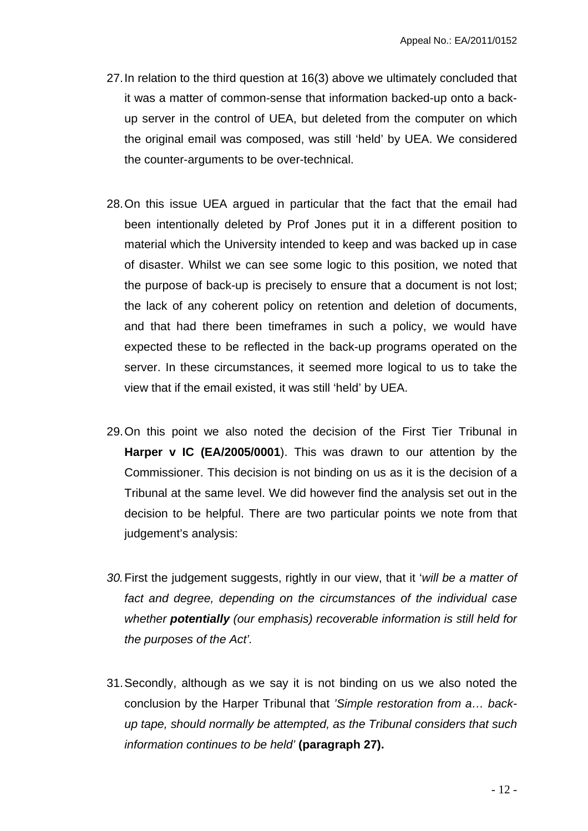- 27. In relation to the third question at 16(3) above we ultimately concluded that it was a matter of common-sense that information backed-up onto a backup server in the control of UEA, but deleted from the computer on which the original email was composed, was still 'held' by UEA. We considered the counter-arguments to be over-technical.
- 28. On this issue UEA argued in particular that the fact that the email had been intentionally deleted by Prof Jones put it in a different position to material which the University intended to keep and was backed up in case of disaster. Whilst we can see some logic to this position, we noted that the purpose of back-up is precisely to ensure that a document is not lost; the lack of any coherent policy on retention and deletion of documents, and that had there been timeframes in such a policy, we would have expected these to be reflected in the back-up programs operated on the server. In these circumstances, it seemed more logical to us to take the view that if the email existed, it was still 'held' by UEA.
- 29. On this point we also noted the decision of the First Tier Tribunal in **Harper v IC (EA/2005/0001**). This was drawn to our attention by the Commissioner. This decision is not binding on us as it is the decision of a Tribunal at the same level. We did however find the analysis set out in the decision to be helpful. There are two particular points we note from that judgement's analysis:
- *30.* First the judgement suggests, rightly in our view, that it '*will be a matter of fact and degree, depending on the circumstances of the individual case whether potentially (our emphasis) recoverable information is still held for the purposes of the Act'.*
- 31. Secondly, although as we say it is not binding on us we also noted the conclusion by the Harper Tribunal that *'Simple restoration from a… backup tape, should normally be attempted, as the Tribunal considers that such information continues to be held'* **(paragraph 27).**